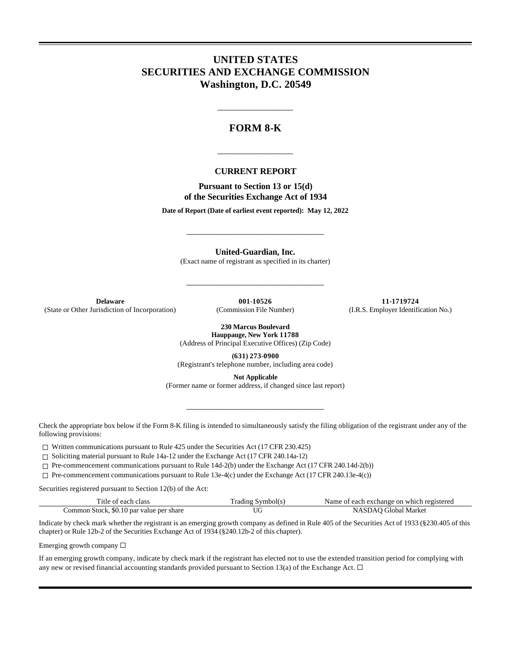# **UNITED STATES SECURITIES AND EXCHANGE COMMISSION Washington, D.C. 20549**

# **FORM 8-K**

\_\_\_\_\_\_\_\_\_\_\_\_\_\_\_\_\_

#### **CURRENT REPORT**

\_\_\_\_\_\_\_\_\_\_\_\_\_\_\_\_\_

**Pursuant to Section 13 or 15(d) of the Securities Exchange Act of 1934**

**Date of Report (Date of earliest event reported): May 12, 2022**

\_\_\_\_\_\_\_\_\_\_\_\_\_\_\_\_\_\_\_\_\_\_\_\_\_\_\_\_\_\_\_

**United-Guardian, Inc.**

(Exact name of registrant as specified in its charter)

\_\_\_\_\_\_\_\_\_\_\_\_\_\_\_\_\_\_\_\_\_\_\_\_\_\_\_\_\_\_\_

(State or Other Jurisdiction of Incorporation)

**Delaware 001-10526 11-1719724 11-1719724 11-1719724 11-1719724 11-1719724 11-1719724 11-1719724 11-1719724 11-1719724 11-1719724 11-1719724 11-1719724 11-1719724 11-1719724 11-1719724 11-**

**230 Marcus Boulevard Hauppauge, New York 11788**

(Address of Principal Executive Offices) (Zip Code)

**(631) 273-0900** (Registrant's telephone number, including area code)

**Not Applicable**

\_\_\_\_\_\_\_\_\_\_\_\_\_\_\_\_\_\_\_\_\_\_\_\_\_\_\_\_\_\_\_

(Former name or former address, if changed since last report)

Check the appropriate box below if the Form 8-K filing is intended to simultaneously satisfy the filing obligation of the registrant under any of the following provisions:

 $\Box$  Written communications pursuant to Rule 425 under the Securities Act (17 CFR 230.425)

☐ Soliciting material pursuant to Rule 14a-12 under the Exchange Act (17 CFR 240.14a-12)

☐ Pre-commencement communications pursuant to Rule 14d-2(b) under the Exchange Act (17 CFR 240.14d-2(b))

☐ Pre-commencement communications pursuant to Rule 13e-4(c) under the Exchange Act (17 CFR 240.13e-4(c))

Securities registered pursuant to Section 12(b) of the Act:

| Title of each class                      | Trading Symbol(s) | Name of each exchange on which registered |
|------------------------------------------|-------------------|-------------------------------------------|
| Common Stock, \$0.10 par value per share |                   | NASDAO Global Market                      |

Indicate by check mark whether the registrant is an emerging growth company as defined in Rule 405 of the Securities Act of 1933 (§230.405 of this chapter) or Rule 12b-2 of the Securities Exchange Act of 1934 (§240.12b-2 of this chapter).

Emerging growth company  $\Box$ 

If an emerging growth company, indicate by check mark if the registrant has elected not to use the extended transition period for complying with any new or revised financial accounting standards provided pursuant to Section 13(a) of the Exchange Act.  $\Box$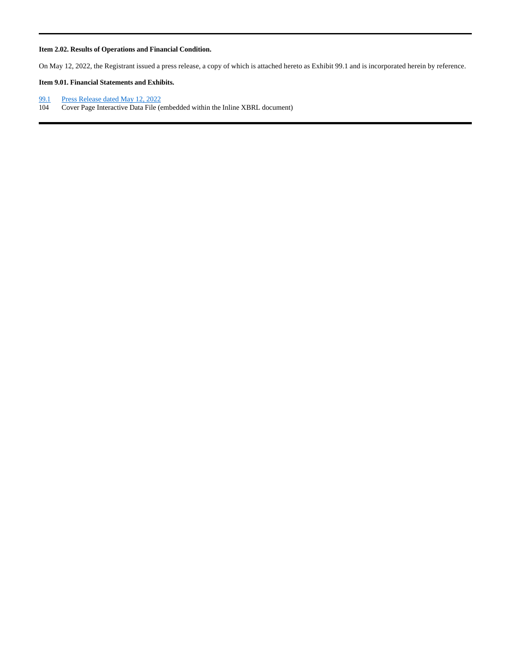#### **Item 2.02. Results of Operations and Financial Condition.**

On May 12, 2022, the Registrant issued a press release, a copy of which is attached hereto as Exhibit 99.1 and is incorporated herein by reference.

### **Item 9.01. Financial Statements and Exhibits.**

- 99.1 Press Release dated May 12, 2022
- 104 Cover Page Interactive Data File (embedded within the Inline XBRL document)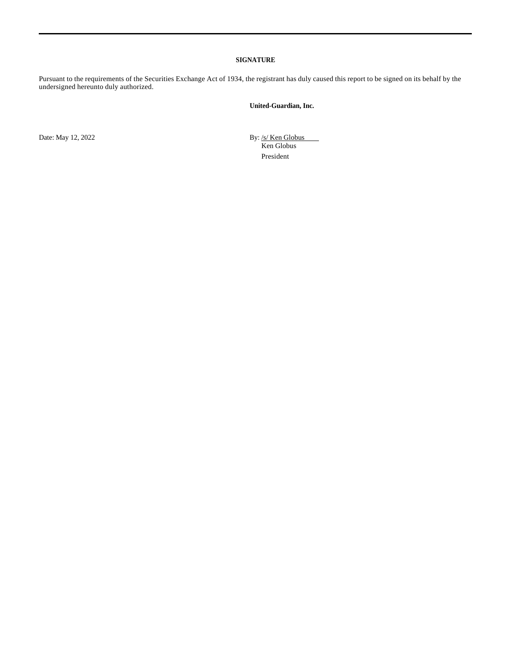#### **SIGNATURE**

Pursuant to the requirements of the Securities Exchange Act of 1934, the registrant has duly caused this report to be signed on its behalf by the undersigned hereunto duly authorized.

### **United-Guardian, Inc.**

Date: May 12, 2022 **By:** /s/ Ken Globus

Ken Globus President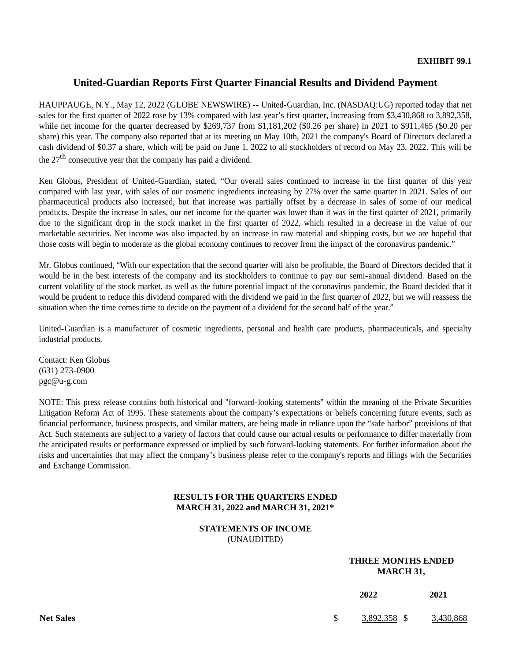# **United-Guardian Reports First Quarter Financial Results and Dividend Payment**

HAUPPAUGE, N.Y., May 12, 2022 (GLOBE NEWSWIRE) -- United-Guardian, Inc. (NASDAQ:UG) reported today that net sales for the first quarter of 2022 rose by 13% compared with last year's first quarter, increasing from \$3,430,868 to 3,892,358, while net income for the quarter decreased by \$269,737 from \$1,181,202 (\$0.26 per share) in 2021 to \$911,465 (\$0.20 per share) this year. The company also reported that at its meeting on May 10th, 2021 the company's Board of Directors declared a cash dividend of \$0.37 a share, which will be paid on June 1, 2022 to all stockholders of record on May 23, 2022. This will be the  $27<sup>th</sup>$  consecutive year that the company has paid a dividend.

Ken Globus, President of United-Guardian, stated, "Our overall sales continued to increase in the first quarter of this year compared with last year, with sales of our cosmetic ingredients increasing by 27% over the same quarter in 2021. Sales of our pharmaceutical products also increased, but that increase was partially offset by a decrease in sales of some of our medical products. Despite the increase in sales, our net income for the quarter was lower than it was in the first quarter of 2021, primarily due to the significant drop in the stock market in the first quarter of 2022, which resulted in a decrease in the value of our marketable securities. Net income was also impacted by an increase in raw material and shipping costs, but we are hopeful that those costs will begin to moderate as the global economy continues to recover from the impact of the coronavirus pandemic."

Mr. Globus continued, "With our expectation that the second quarter will also be profitable, the Board of Directors decided that it would be in the best interests of the company and its stockholders to continue to pay our semi-annual dividend. Based on the current volatility of the stock market, as well as the future potential impact of the coronavirus pandemic, the Board decided that it would be prudent to reduce this dividend compared with the dividend we paid in the first quarter of 2022, but we will reassess the situation when the time comes time to decide on the payment of a dividend for the second half of the year."

United-Guardian is a manufacturer of cosmetic ingredients, personal and health care products, pharmaceuticals, and specialty industrial products.

Contact: Ken Globus (631) 273-0900 pgc@u-g.com

NOTE: This press release contains both historical and "forward-looking statements" within the meaning of the Private Securities Litigation Reform Act of 1995. These statements about the company's expectations or beliefs concerning future events, such as financial performance, business prospects, and similar matters, are being made in reliance upon the "safe harbor" provisions of that Act. Such statements are subject to a variety of factors that could cause our actual results or performance to differ materially from the anticipated results or performance expressed or implied by such forward-looking statements. For further information about the risks and uncertainties that may affect the company's business please refer to the company's reports and filings with the Securities and Exchange Commission.

## **RESULTS FOR THE QUARTERS ENDED MARCH 31, 2022 and MARCH 31, 2021\***

**STATEMENTS OF INCOME**  (UNAUDITED)

# **THREE MONTHS ENDED MARCH 31,**

|                  | 2022         | 2021      |
|------------------|--------------|-----------|
| <b>Net Sales</b> | 3,892,358 \$ | 3,430,868 |